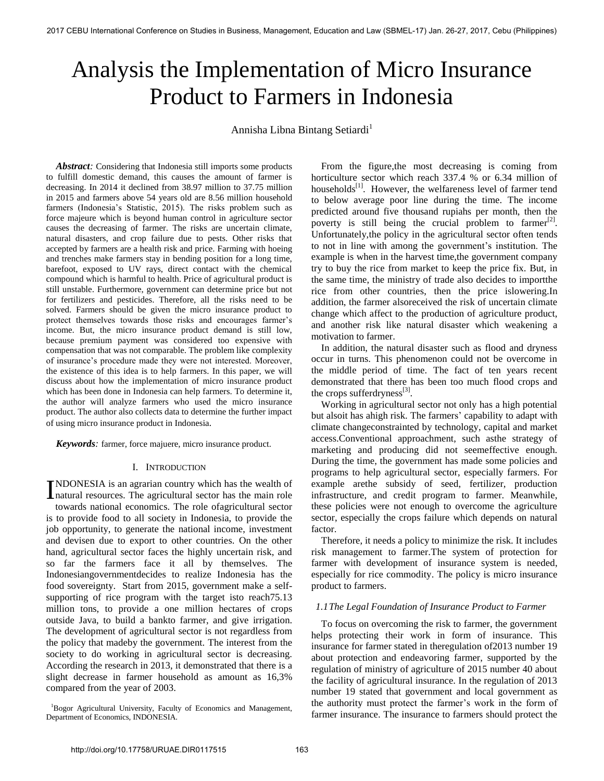# Analysis the Implementation of Micro Insurance Product to Farmers in Indonesia

Annisha Libna Bintang Setiardi<sup>1</sup>

Abstract: Considering that Indonesia still imports some products to fulfill domestic demand, this causes the amount of farmer is decreasing. In 2014 it declined from 38.97 million to 37.75 million in 2015 and farmers above 54 years old are 8.56 million household farmers (Indonesia's Statistic, 2015). The risks problem such as force majeure which is beyond human control in agriculture sector causes the decreasing of farmer. The risks are uncertain climate, natural disasters, and crop failure due to pests. Other risks that accepted by farmers are a health risk and price. Farming with hoeing and trenches make farmers stay in bending position for a long time, barefoot, exposed to UV rays, direct contact with the chemical compound which is harmful to health. Price of agricultural product is still unstable. Furthermore, government can determine price but not for fertilizers and pesticides. Therefore, all the risks need to be solved. Farmers should be given the micro insurance product to protect themselves towards those risks and encourages farmer's income. But, the micro insurance product demand is still low, because premium payment was considered too expensive with compensation that was not comparable. The problem like complexity of insurance's procedure made they were not interested. Moreover, the existence of this idea is to help farmers. In this paper, we will discuss about how the implementation of micro insurance product which has been done in Indonesia can help farmers. To determine it, the author will analyze farmers who used the micro insurance product. The author also collects data to determine the further impact of using micro insurance product in Indonesia*.* 

*Keywords:* farmer, force majuere, micro insurance product.

#### I. INTRODUCTION

NDONESIA is an agrarian country which has the wealth of INDONESIA is an agrarian country which has the wealth of natural resources. The agricultural sector has the main role towards national economics. The role ofagricultural sector is to provide food to all society in Indonesia, to provide the job opportunity, to generate the national income, investment and devisen due to export to other countries. On the other hand, agricultural sector faces the highly uncertain risk, and so far the farmers face it all by themselves. The Indonesiangovernmentdecides to realize Indonesia has the food sovereignty. Start from 2015, government make a selfsupporting of rice program with the target isto reach75.13 million tons, to provide a one million hectares of crops outside Java, to build a bankto farmer, and give irrigation. The development of agricultural sector is not regardless from the policy that madeby the government. The interest from the society to do working in agricultural sector is decreasing. According the research in 2013, it demonstrated that there is a slight decrease in farmer household as amount as 16,3% compared from the year of 2003.

<sup>1</sup>Bogor Agricultural University, Faculty of Economics and Management, Department of Economics, INDONESIA.

 From the figure,the most decreasing is coming from horticulture sector which reach 337.4 % or 6.34 million of households<sup>[1]</sup>. However, the welfareness level of farmer tend to below average poor line during the time. The income predicted around five thousand rupiahs per month, then the poverty is still being the crucial problem to farmer<sup>[2]</sup>. Unfortunately,the policy in the agricultural sector often tends to not in line with among the government's institution. The example is when in the harvest time,the government company try to buy the rice from market to keep the price fix. But, in the same time, the ministry of trade also decides to importthe rice from other countries, then the price islowering.In addition, the farmer alsoreceived the risk of uncertain climate change which affect to the production of agriculture product, and another risk like natural disaster which weakening a motivation to farmer.

 In addition, the natural disaster such as flood and dryness occur in turns. This phenomenon could not be overcome in the middle period of time. The fact of ten years recent demonstrated that there has been too much flood crops and the crops sufferdryness $^{[3]}$ .

 Working in agricultural sector not only has a high potential but alsoit has ahigh risk. The farmers' capability to adapt with climate changeconstrainted by technology, capital and market access.Conventional approachment, such asthe strategy of marketing and producing did not seemeffective enough. During the time, the government has made some policies and programs to help agricultural sector, especially farmers. For example arethe subsidy of seed, fertilizer, production infrastructure, and credit program to farmer. Meanwhile, these policies were not enough to overcome the agriculture sector, especially the crops failure which depends on natural factor.

 Therefore, it needs a policy to minimize the risk. It includes risk management to farmer.The system of protection for farmer with development of insurance system is needed, especially for rice commodity. The policy is micro insurance product to farmers.

## *1.1The Legal Foundation of Insurance Product to Farmer*

 To focus on overcoming the risk to farmer, the government helps protecting their work in form of insurance. This insurance for farmer stated in theregulation of2013 number 19 about protection and endeavoring farmer, supported by the regulation of ministry of agriculture of 2015 number 40 about the facility of agricultural insurance. In the regulation of 2013 number 19 stated that government and local government as the authority must protect the farmer's work in the form of farmer insurance. The insurance to farmers should protect the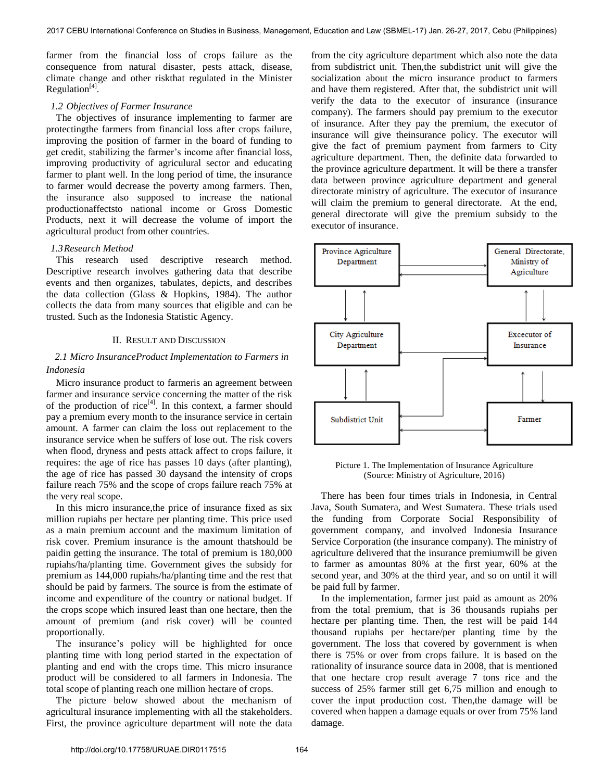farmer from the financial loss of crops failure as the consequence from natural disaster, pests attack, disease, climate change and other riskthat regulated in the Minister Regulation $[4]$ .

## *1.2 Objectives of Farmer Insurance*

 The objectives of insurance implementing to farmer are protectingthe farmers from financial loss after crops failure, improving the position of farmer in the board of funding to get credit, stabilizing the farmer's income after financial loss, improving productivity of agriculural sector and educating farmer to plant well. In the long period of time, the insurance to farmer would decrease the poverty among farmers. Then, the insurance also supposed to increase the national productionaffectsto national income or Gross Domestic Products, next it will decrease the volume of import the agricultural product from other countries.

### *1.3Research Method*

 This research used descriptive research method. Descriptive research involves gathering data that describe events and then organizes, tabulates, depicts, and describes the data collection (Glass & Hopkins, 1984). The author collects the data from many sources that eligible and can be trusted. Such as the Indonesia Statistic Agency.

## II. RESULT AND DISCUSSION

# *2.1 Micro InsuranceProduct Implementation to Farmers in Indonesia*

Micro insurance product to farmeris an agreement between farmer and insurance service concerning the matter of the risk of the production of rice<sup>[4]</sup>. In this context, a farmer should pay a premium every month to the insurance service in certain amount. A farmer can claim the loss out replacement to the insurance service when he suffers of lose out. The risk covers when flood, dryness and pests attack affect to crops failure, it requires: the age of rice has passes 10 days (after planting), the age of rice has passed 30 daysand the intensity of crops failure reach 75% and the scope of crops failure reach 75% at the very real scope.

 In this micro insurance,the price of insurance fixed as six million rupiahs per hectare per planting time. This price used as a main premium account and the maximum limitation of risk cover. Premium insurance is the amount thatshould be paidin getting the insurance. The total of premium is 180,000 rupiahs/ha/planting time. Government gives the subsidy for premium as 144,000 rupiahs/ha/planting time and the rest that should be paid by farmers. The source is from the estimate of income and expenditure of the country or national budget. If the crops scope which insured least than one hectare, then the amount of premium (and risk cover) will be counted proportionally.

The insurance's policy will be highlighted for once planting time with long period started in the expectation of planting and end with the crops time. This micro insurance product will be considered to all farmers in Indonesia. The total scope of planting reach one million hectare of crops.

 The picture below showed about the mechanism of agricultural insurance implementing with all the stakeholders. First, the province agriculture department will note the data from the city agriculture department which also note the data from subdistrict unit. Then,the subdistrict unit will give the socialization about the micro insurance product to farmers and have them registered. After that, the subdistrict unit will verify the data to the executor of insurance (insurance company). The farmers should pay premium to the executor of insurance. After they pay the premium, the executor of insurance will give theinsurance policy. The executor will give the fact of premium payment from farmers to City agriculture department. Then, the definite data forwarded to the province agriculture department. It will be there a transfer data between province agriculture department and general directorate ministry of agriculture. The executor of insurance will claim the premium to general directorate. At the end, general directorate will give the premium subsidy to the executor of insurance.



Picture 1. The Implementation of Insurance Agriculture (Source: Ministry of Agriculture, 2016)

 There has been four times trials in Indonesia, in Central Java, South Sumatera, and West Sumatera. These trials used the funding from Corporate Social Responsibility of government company, and involved Indonesia Insurance Service Corporation (the insurance company). The ministry of agriculture delivered that the insurance premiumwill be given to farmer as amountas 80% at the first year, 60% at the second year, and 30% at the third year, and so on until it will be paid full by farmer.

 In the implementation, farmer just paid as amount as 20% from the total premium, that is 36 thousands rupiahs per hectare per planting time. Then, the rest will be paid 144 thousand rupiahs per hectare/per planting time by the government. The loss that covered by government is when there is 75% or over from crops failure. It is based on the rationality of insurance source data in 2008, that is mentioned that one hectare crop result average 7 tons rice and the success of 25% farmer still get 6,75 million and enough to cover the input production cost. Then,the damage will be covered when happen a damage equals or over from 75% land damage.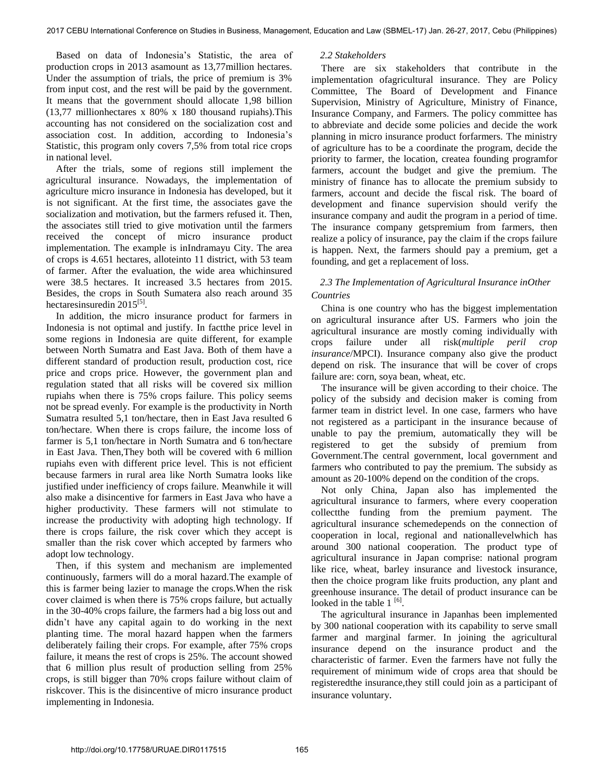Based on data of Indonesia's Statistic, the area of production crops in 2013 asamount as 13,77million hectares. Under the assumption of trials, the price of premium is 3% from input cost, and the rest will be paid by the government. It means that the government should allocate 1,98 billion (13,77 millionhectares x 80% x 180 thousand rupiahs).This accounting has not considered on the socialization cost and association cost. In addition, according to Indonesia's Statistic, this program only covers 7,5% from total rice crops in national level.

 After the trials, some of regions still implement the agricultural insurance. Nowadays, the implementation of agriculture micro insurance in Indonesia has developed, but it is not significant. At the first time, the associates gave the socialization and motivation, but the farmers refused it. Then, the associates still tried to give motivation until the farmers received the concept of micro insurance product implementation. The example is inIndramayu City. The area of crops is 4.651 hectares, alloteinto 11 district, with 53 team of farmer. After the evaluation, the wide area whichinsured were 38.5 hectares. It increased 3.5 hectares from 2015. Besides, the crops in South Sumatera also reach around 35 hectaresinsuredin 2015<sup>[5]</sup>.

 In addition, the micro insurance product for farmers in Indonesia is not optimal and justify. In factthe price level in some regions in Indonesia are quite different, for example between North Sumatra and East Java. Both of them have a different standard of production result, production cost, rice price and crops price. However, the government plan and regulation stated that all risks will be covered six million rupiahs when there is 75% crops failure. This policy seems not be spread evenly. For example is the productivity in North Sumatra resulted 5,1 ton/hectare, then in East Java resulted 6 ton/hectare. When there is crops failure, the income loss of farmer is 5,1 ton/hectare in North Sumatra and 6 ton/hectare in East Java. Then,They both will be covered with 6 million rupiahs even with different price level. This is not efficient because farmers in rural area like North Sumatra looks like justified under inefficiency of crops failure. Meanwhile it will also make a disincentive for farmers in East Java who have a higher productivity. These farmers will not stimulate to increase the productivity with adopting high technology. If there is crops failure, the risk cover which they accept is smaller than the risk cover which accepted by farmers who adopt low technology.

 Then, if this system and mechanism are implemented continuously, farmers will do a moral hazard.The example of this is farmer being lazier to manage the crops.When the risk cover claimed is when there is 75% crops failure, but actually in the 30-40% crops failure, the farmers had a big loss out and didn't have any capital again to do working in the next planting time. The moral hazard happen when the farmers deliberately failing their crops. For example, after 75% crops failure, it means the rest of crops is 25%. The account showed that 6 million plus result of production selling from 25% crops, is still bigger than 70% crops failure without claim of riskcover. This is the disincentive of micro insurance product implementing in Indonesia.

## *2.2 Stakeholders*

 There are six stakeholders that contribute in the implementation ofagricultural insurance. They are Policy Committee, The Board of Development and Finance Supervision, Ministry of Agriculture, Ministry of Finance, Insurance Company, and Farmers. The policy committee has to abbreviate and decide some policies and decide the work planning in micro insurance product forfarmers. The ministry of agriculture has to be a coordinate the program, decide the priority to farmer, the location, createa founding programfor farmers, account the budget and give the premium. The ministry of finance has to allocate the premium subsidy to farmers, account and decide the fiscal risk. The board of development and finance supervision should verify the insurance company and audit the program in a period of time. The insurance company getspremium from farmers, then realize a policy of insurance, pay the claim if the crops failure is happen. Next, the farmers should pay a premium, get a founding, and get a replacement of loss.

# *2.3 The Implementation of Agricultural Insurance inOther Countries*

 China is one country who has the biggest implementation on agricultural insurance after US. Farmers who join the agricultural insurance are mostly coming individually with crops failure under all risk(*multiple peril crop insurance*/MPCI). Insurance company also give the product depend on risk. The insurance that will be cover of crops failure are: corn, soya bean, wheat, etc.

 The insurance will be given according to their choice. The policy of the subsidy and decision maker is coming from farmer team in district level. In one case, farmers who have not registered as a participant in the insurance because of unable to pay the premium, automatically they will be registered to get the subsidy of premium from Government.The central government, local government and farmers who contributed to pay the premium. The subsidy as amount as 20-100% depend on the condition of the crops.

 Not only China, Japan also has implemented the agricultural insurance to farmers, where every cooperation collectthe funding from the premium payment. The agricultural insurance schemedepends on the connection of cooperation in local, regional and nationallevelwhich has around 300 national cooperation. The product type of agricultural insurance in Japan comprise: national program like rice, wheat, barley insurance and livestock insurance, then the choice program like fruits production, any plant and greenhouse insurance. The detail of product insurance can be looked in the table  $1^{[6]}$ .

 The agricultural insurance in Japanhas been implemented by 300 national cooperation with its capability to serve small farmer and marginal farmer. In joining the agricultural insurance depend on the insurance product and the characteristic of farmer. Even the farmers have not fully the requirement of minimum wide of crops area that should be registeredthe insurance,they still could join as a participant of insurance voluntary.